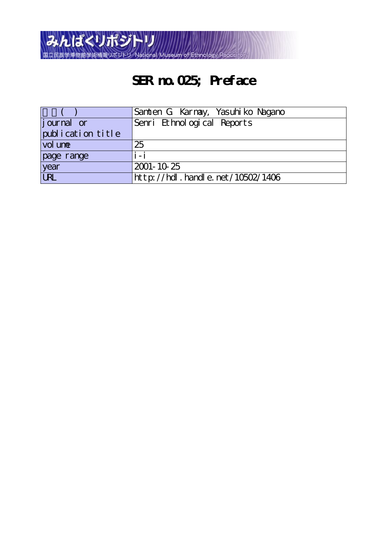

## **SER no.025; Preface**

|                   | Samten G Karnay, Yasuhi ko Nagano |
|-------------------|-----------------------------------|
| journal or        | Senri Ethnological Reports        |
| publication title |                                   |
| $vol$ une         | 25                                |
| page range        | $i - i$                           |
| year              | 2001-10-25                        |
| URL               | http://hdl.handle.net/10502/1406  |